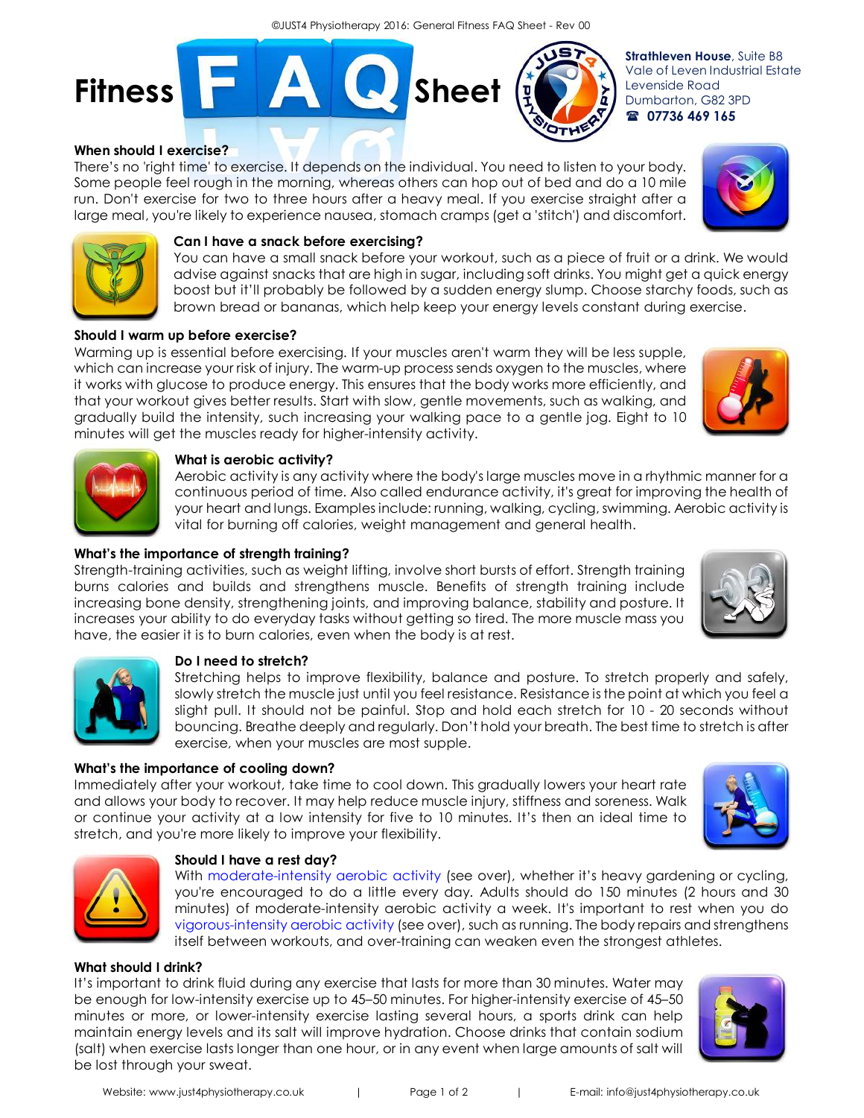

#### **When should I exercise?**

There's no 'right time' to exercise. It depends on the individual. You need to listen to your body. Some people feel rough in the morning, whereas others can hop out of bed and do a 10 mile run. Don't exercise for two to three hours after a heavy meal. If you exercise straight after a large meal, you're likely to experience nausea, stomach cramps (get a 'stitch') and discomfort.



**Fitness Figure 3** Sheet

You can have a small snack before your workout, such as a piece of fruit or a drink. We would advise against snacks that are high in sugar, including soft drinks. You might get a quick energy boost but it'll probably be followed by a sudden energy slump. Choose starchy foods, such as brown bread or bananas, which help keep your energy levels constant during exercise.

#### **Should I warm up before exercise?**

Warming up is essential before exercising. If your muscles aren't warm they will be less supple, which can increase your risk of injury. The warm-up process sends oxygen to the muscles, where it works with glucose to produce energy. This ensures that the body works more efficiently, and that your workout gives better results. Start with slow, gentle movements, such as walking, and gradually build the intensity, such increasing your walking pace to a gentle jog. Eight to 10 minutes will get the muscles ready for higher-intensity activity.



Aerobic activity is any activity where the body's large muscles move in a rhythmic manner for a continuous period of time. Also called endurance activity, it's great for improving the health of your heart and lungs. Examples include: running, walking, cycling, swimming. Aerobic activity is vital for burning off calories, weight management and general health.

#### **What's the importance of strength training?**

Strength-training activities, such as weight lifting, involve short bursts of effort. Strength training burns calories and builds and strengthens muscle. Benefits of strength training include increasing bone density, strengthening joints, and improving balance, stability and posture. It increases your ability to do everyday tasks without getting so tired. The more muscle mass you have, the easier it is to burn calories, even when the body is at rest.

## **Do I need to stretch?**

Stretching helps to improve flexibility, balance and posture. To stretch properly and safely, slowly stretch the muscle just until you feel resistance. Resistance is the point at which you feel a slight pull. It should not be painful. Stop and hold each stretch for 10 - 20 seconds without bouncing. Breathe deeply and regularly. Don't hold your breath. The best time to stretch is after exercise, when your muscles are most supple.

#### **What's the importance of cooling down?**

Immediately after your workout, take time to cool down. This gradually lowers your heart rate and allows your body to recover. It may help reduce muscle injury, stiffness and soreness. Walk or continue your activity at a low intensity for five to 10 minutes. It's then an ideal time to stretch, and you're more likely to improve your flexibility.

#### **Should I have a rest day?**

With moderate-intensity aerobic activity (see over), whether it's heavy gardening or cycling, you're encouraged to do a little every day. Adults should do 150 minutes (2 hours and 30 minutes) of moderate-intensity aerobic activity a week. It's important to rest when you do vigorous-intensity aerobic activity (see over), such as running. The body repairs and strengthens itself between workouts, and over-training can weaken even the strongest athletes.

#### **What should I drink?**

It's important to drink fluid during any exercise that lasts for more than 30 minutes. Water may be enough for low-intensity exercise up to 45–50 minutes. For higher-intensity exercise of 45–50 minutes or more, or lower-intensity exercise lasting several hours, a sports drink can help maintain energy levels and its salt will improve hydration. Choose drinks that contain sodium (salt) when exercise lasts longer than one hour, or in any event when large amounts of salt will be lost through your sweat.